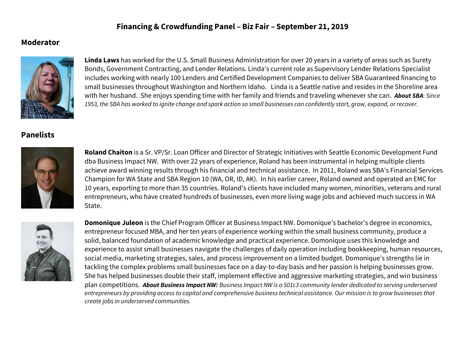## **Financing & Crowdfunding Panel – Biz Fair – September 21, 2019**

## **Moderator**



**Linda Laws** has worked for the U.S. Small Business Administration for over 20 years in a variety of areas such as Surety Bonds, Government Contracting, and Lender Relations. Linda's current role as Supervisory Lender Relations Specialist includes working with nearly 100 Lenders and Certified Development Companies to deliver SBA Guaranteed financing to small businesses throughout Washington and Northern Idaho. Linda is a Seattle native and resides in the Shoreline area with her husband. She enjoys spending time with her family and friends and traveling whenever she can. *About SBA*: *Since 1953, the SBA has worked to ignite change and spark action so small businesses can confidently start, grow, expand, or recover.*

## **Panelists**



**Roland Chaiton** is a Sr. VP/Sr. Loan Officer and Director of Strategic Initiatives with Seattle Economic Development Fund dba Business Impact NW. With over 22 years of experience, Roland has been instrumental in helping multiple clients achieve award winning results through his financial and technical assistance. In 2011, Roland was SBA's Financial Services Champion for WA State and SBA Region 10 (WA, OR, ID, AK). In his earlier career, Roland owned and operated an EMC for 10 years, exporting to more than 35 countries. Roland's clients have included many women, minorities, veterans and rural entrepreneurs, who have created hundreds of businesses, even more living wage jobs and achieved much success in WA State.



**Domonique Juleon** is the Chief Program Officer at Business Impact NW. Domonique's bachelor's degree in economics, entrepreneur focused MBA, and her ten years of experience working within the small business community, produce a solid, balanced foundation of academic knowledge and practical experience. Domonique uses this knowledge and experience to assist small businesses navigate the challenges of daily operation including bookkeeping, human resources, social media, marketing strategies, sales, and process improvement on a limited budget. Domonique's strengths lie in tackling the complex problems small businesses face on a day-to-day basis and her passion is helping businesses grow. She has helped businesses double their staff, implement effective and aggressive marketing strategies, and win business plan competitions. *About Business Impact NW: Business Impact NW is a 501c3 community lender dedicated to serving underserved entrepreneurs by providing access to capital and comprehensive business technical assistance. Our mission is to grow businesses that create jobs in underserved communities.*